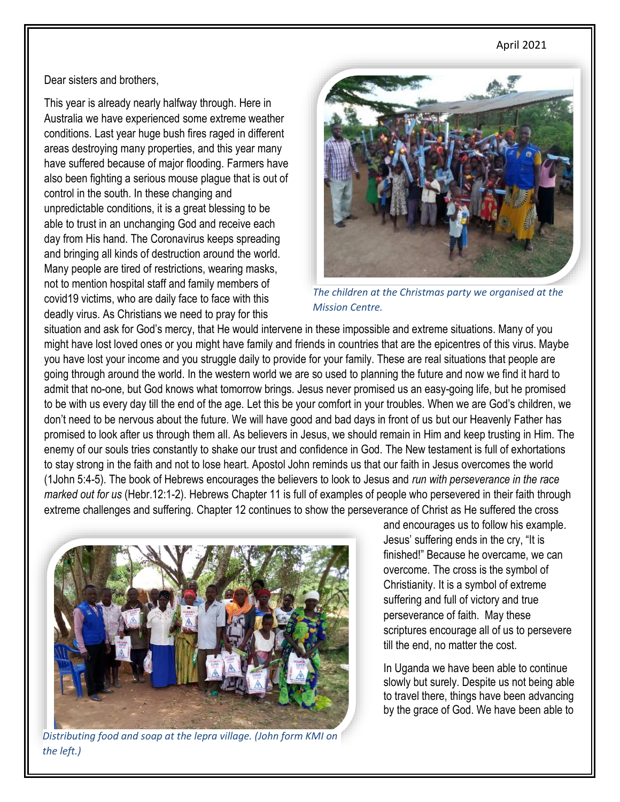#### April 2021

Dear sisters and brothers,

This year is already nearly halfway through. Here in Australia we have experienced some extreme weather conditions. Last year huge bush fires raged in different areas destroying many properties, and this year many have suffered because of major flooding. Farmers have also been fighting a serious mouse plague that is out of control in the south. In these changing and unpredictable conditions, it is a great blessing to be able to trust in an unchanging God and receive each day from His hand. The Coronavirus keeps spreading and bringing all kinds of destruction around the world. Many people are tired of restrictions, wearing masks, not to mention hospital staff and family members of covid19 victims, who are daily face to face with this deadly virus. As Christians we need to pray for this



*The children at the Christmas party we organised at the Mission Centre.*

situation and ask for God's mercy, that He would intervene in these impossible and extreme situations. Many of you might have lost loved ones or you might have family and friends in countries that are the epicentres of this virus. Maybe you have lost your income and you struggle daily to provide for your family. These are real situations that people are going through around the world. In the western world we are so used to planning the future and now we find it hard to admit that no-one, but God knows what tomorrow brings. Jesus never promised us an easy-going life, but he promised to be with us every day till the end of the age. Let this be your comfort in your troubles. When we are God's children, we don't need to be nervous about the future. We will have good and bad days in front of us but our Heavenly Father has promised to look after us through them all. As believers in Jesus, we should remain in Him and keep trusting in Him. The enemy of our souls tries constantly to shake our trust and confidence in God. The New testament is full of exhortations to stay strong in the faith and not to lose heart. Apostol John reminds us that our faith in Jesus overcomes the world (1John 5:4-5). The book of Hebrews encourages the believers to look to Jesus and *run with perseverance in the race marked out for us* (Hebr.12:1-2). Hebrews Chapter 11 is full of examples of people who persevered in their faith through extreme challenges and suffering. Chapter 12 continues to show the perseverance of Christ as He suffered the cross



*Distributing food and soap at the lepra village. (John form KMI on the left.)*

and encourages us to follow his example. Jesus' suffering ends in the cry, "It is finished!" Because he overcame, we can overcome. The cross is the symbol of Christianity. It is a symbol of extreme suffering and full of victory and true perseverance of faith. May these scriptures encourage all of us to persevere till the end, no matter the cost.

In Uganda we have been able to continue slowly but surely. Despite us not being able to travel there, things have been advancing by the grace of God. We have been able to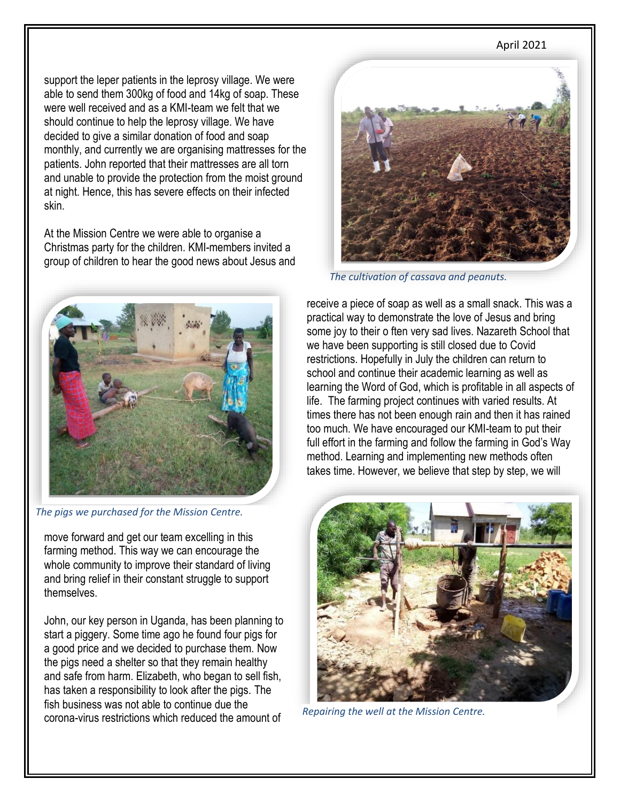### April 2021

support the leper patients in the leprosy village. We were able to send them 300kg of food and 14kg of soap. These were well received and as a KMI-team we felt that we should continue to help the leprosy village. We have decided to give a similar donation of food and soap monthly, and currently we are organising mattresses for the patients. John reported that their mattresses are all torn and unable to provide the protection from the moist ground at night. Hence, this has severe effects on their infected skin.

At the Mission Centre we were able to organise a Christmas party for the children. KMI-members invited a group of children to hear the good news about Jesus and



*The pigs we purchased for the Mission Centre.*

move forward and get our team excelling in this farming method. This way we can encourage the whole community to improve their standard of living and bring relief in their constant struggle to support themselves.

John, our key person in Uganda, has been planning to start a piggery. Some time ago he found four pigs for a good price and we decided to purchase them. Now the pigs need a shelter so that they remain healthy and safe from harm. Elizabeth, who began to sell fish, has taken a responsibility to look after the pigs. The fish business was not able to continue due the corona-virus restrictions which reduced the amount of *Repairing the well at the Mission Centre.*



*The cultivation of cassava and peanuts.*

receive a piece of soap as well as a small snack. This was a practical way to demonstrate the love of Jesus and bring some joy to their o ften very sad lives. Nazareth School that we have been supporting is still closed due to Covid restrictions. Hopefully in July the children can return to school and continue their academic learning as well as learning the Word of God, which is profitable in all aspects of life. The farming project continues with varied results. At times there has not been enough rain and then it has rained too much. We have encouraged our KMI-team to put their full effort in the farming and follow the farming in God's Way method. Learning and implementing new methods often takes time. However, we believe that step by step, we will